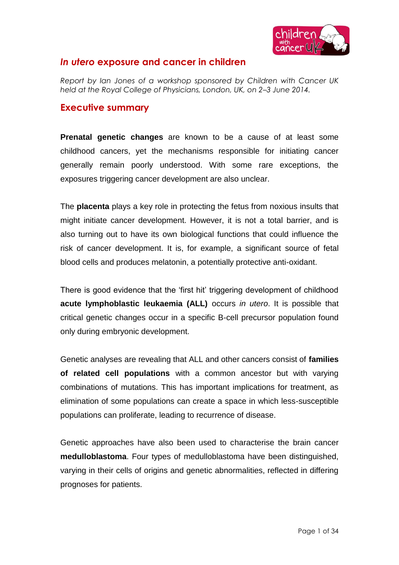

# *In utero* **exposure and cancer in children**

*Report by Ian Jones of a workshop sponsored by Children with Cancer UK held at the Royal College of Physicians, London, UK, on 2–3 June 2014.* 

# **Executive summary**

**Prenatal genetic changes** are known to be a cause of at least some childhood cancers, yet the mechanisms responsible for initiating cancer generally remain poorly understood. With some rare exceptions, the exposures triggering cancer development are also unclear.

The **placenta** plays a key role in protecting the fetus from noxious insults that might initiate cancer development. However, it is not a total barrier, and is also turning out to have its own biological functions that could influence the risk of cancer development. It is, for example, a significant source of fetal blood cells and produces melatonin, a potentially protective anti-oxidant.

There is good evidence that the 'first hit' triggering development of childhood **acute lymphoblastic leukaemia (ALL)** occurs *in utero*. It is possible that critical genetic changes occur in a specific B-cell precursor population found only during embryonic development.

Genetic analyses are revealing that ALL and other cancers consist of **families of related cell populations** with a common ancestor but with varying combinations of mutations. This has important implications for treatment, as elimination of some populations can create a space in which less-susceptible populations can proliferate, leading to recurrence of disease.

Genetic approaches have also been used to characterise the brain cancer **medulloblastoma**. Four types of medulloblastoma have been distinguished, varying in their cells of origins and genetic abnormalities, reflected in differing prognoses for patients.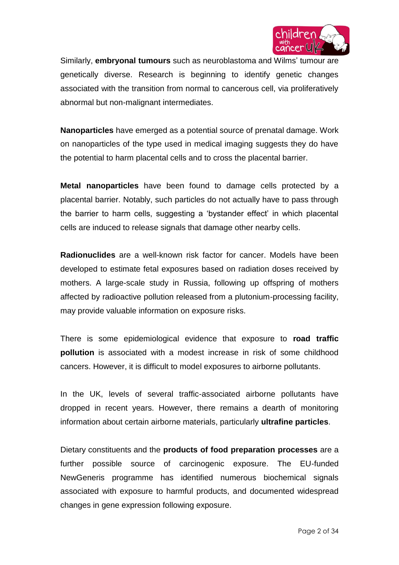

Similarly, **embryonal tumours** such as neuroblastoma and Wilms' tumour are genetically diverse. Research is beginning to identify genetic changes associated with the transition from normal to cancerous cell, via proliferatively abnormal but non-malignant intermediates.

**Nanoparticles** have emerged as a potential source of prenatal damage. Work on nanoparticles of the type used in medical imaging suggests they do have the potential to harm placental cells and to cross the placental barrier.

**Metal nanoparticles** have been found to damage cells protected by a placental barrier. Notably, such particles do not actually have to pass through the barrier to harm cells, suggesting a 'bystander effect' in which placental cells are induced to release signals that damage other nearby cells.

**Radionuclides** are a well-known risk factor for cancer. Models have been developed to estimate fetal exposures based on radiation doses received by mothers. A large-scale study in Russia, following up offspring of mothers affected by radioactive pollution released from a plutonium-processing facility, may provide valuable information on exposure risks.

There is some epidemiological evidence that exposure to **road traffic pollution** is associated with a modest increase in risk of some childhood cancers. However, it is difficult to model exposures to airborne pollutants.

In the UK, levels of several traffic-associated airborne pollutants have dropped in recent years. However, there remains a dearth of monitoring information about certain airborne materials, particularly **ultrafine particles**.

Dietary constituents and the **products of food preparation processes** are a further possible source of carcinogenic exposure. The EU-funded NewGeneris programme has identified numerous biochemical signals associated with exposure to harmful products, and documented widespread changes in gene expression following exposure.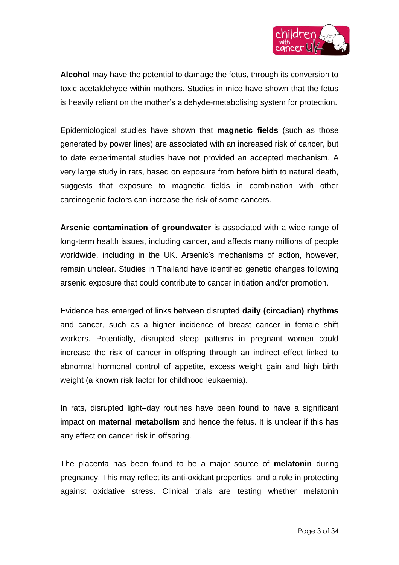

**Alcohol** may have the potential to damage the fetus, through its conversion to toxic acetaldehyde within mothers. Studies in mice have shown that the fetus is heavily reliant on the mother's aldehyde-metabolising system for protection.

Epidemiological studies have shown that **magnetic fields** (such as those generated by power lines) are associated with an increased risk of cancer, but to date experimental studies have not provided an accepted mechanism. A very large study in rats, based on exposure from before birth to natural death, suggests that exposure to magnetic fields in combination with other carcinogenic factors can increase the risk of some cancers.

**Arsenic contamination of groundwater** is associated with a wide range of long-term health issues, including cancer, and affects many millions of people worldwide, including in the UK. Arsenic's mechanisms of action, however, remain unclear. Studies in Thailand have identified genetic changes following arsenic exposure that could contribute to cancer initiation and/or promotion.

Evidence has emerged of links between disrupted **daily (circadian) rhythms** and cancer, such as a higher incidence of breast cancer in female shift workers. Potentially, disrupted sleep patterns in pregnant women could increase the risk of cancer in offspring through an indirect effect linked to abnormal hormonal control of appetite, excess weight gain and high birth weight (a known risk factor for childhood leukaemia).

In rats, disrupted light–day routines have been found to have a significant impact on **maternal metabolism** and hence the fetus. It is unclear if this has any effect on cancer risk in offspring.

The placenta has been found to be a major source of **melatonin** during pregnancy. This may reflect its anti-oxidant properties, and a role in protecting against oxidative stress. Clinical trials are testing whether melatonin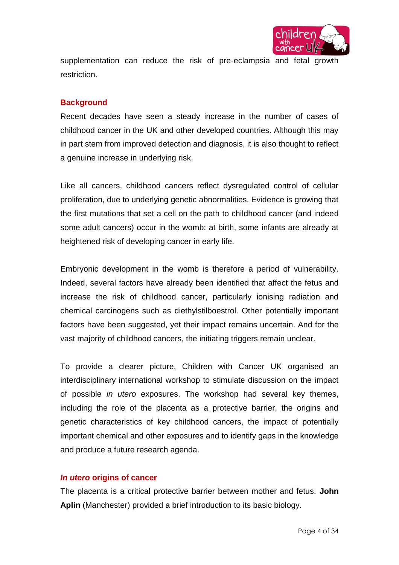

supplementation can reduce the risk of pre-eclampsia and fetal growth restriction.

# **Background**

Recent decades have seen a steady increase in the number of cases of childhood cancer in the UK and other developed countries. Although this may in part stem from improved detection and diagnosis, it is also thought to reflect a genuine increase in underlying risk.

Like all cancers, childhood cancers reflect dysregulated control of cellular proliferation, due to underlying genetic abnormalities. Evidence is growing that the first mutations that set a cell on the path to childhood cancer (and indeed some adult cancers) occur in the womb: at birth, some infants are already at heightened risk of developing cancer in early life.

Embryonic development in the womb is therefore a period of vulnerability. Indeed, several factors have already been identified that affect the fetus and increase the risk of childhood cancer, particularly ionising radiation and chemical carcinogens such as diethylstilboestrol. Other potentially important factors have been suggested, yet their impact remains uncertain. And for the vast majority of childhood cancers, the initiating triggers remain unclear.

To provide a clearer picture, Children with Cancer UK organised an interdisciplinary international workshop to stimulate discussion on the impact of possible *in utero* exposures. The workshop had several key themes, including the role of the placenta as a protective barrier, the origins and genetic characteristics of key childhood cancers, the impact of potentially important chemical and other exposures and to identify gaps in the knowledge and produce a future research agenda.

## *In utero* **origins of cancer**

The placenta is a critical protective barrier between mother and fetus. **John Aplin** (Manchester) provided a brief introduction to its basic biology.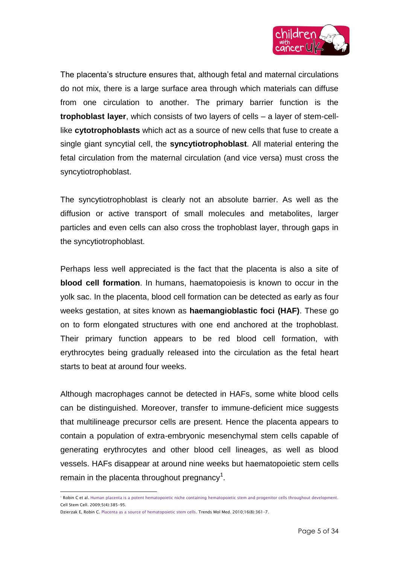

The placenta's structure ensures that, although fetal and maternal circulations do not mix, there is a large surface area through which materials can diffuse from one circulation to another. The primary barrier function is the **trophoblast layer**, which consists of two layers of cells – a layer of stem-celllike **cytotrophoblasts** which act as a source of new cells that fuse to create a single giant syncytial cell, the **syncytiotrophoblast**. All material entering the fetal circulation from the maternal circulation (and vice versa) must cross the syncytiotrophoblast.

The syncytiotrophoblast is clearly not an absolute barrier. As well as the diffusion or active transport of small molecules and metabolites, larger particles and even cells can also cross the trophoblast layer, through gaps in the syncytiotrophoblast.

Perhaps less well appreciated is the fact that the placenta is also a site of **blood cell formation**. In humans, haematopoiesis is known to occur in the yolk sac. In the placenta, blood cell formation can be detected as early as four weeks gestation, at sites known as **haemangioblastic foci (HAF)**. These go on to form elongated structures with one end anchored at the trophoblast. Their primary function appears to be red blood cell formation, with erythrocytes being gradually released into the circulation as the fetal heart starts to beat at around four weeks.

Although macrophages cannot be detected in HAFs, some white blood cells can be distinguished. Moreover, transfer to immune-deficient mice suggests that multilineage precursor cells are present. Hence the placenta appears to contain a population of extra-embryonic mesenchymal stem cells capable of generating erythrocytes and other blood cell lineages, as well as blood vessels. HAFs disappear at around nine weeks but haematopoietic stem cells remain in the placenta throughout pregnancy<sup>1</sup>.

 $\overline{a}$ 

<sup>&</sup>lt;sup>1</sup> Robin C et al. Human placenta [is a potent hematopoietic niche containing hematopoietic stem and progenitor cells throughout development.](http://www.ncbi.nlm.nih.gov/pubmed/19796619) Cell Stem Cell. 2009;5(4):385–95.

Dzierzak E, Robin C. Placenta [as a source of hematopoietic stem cells.](http://www.ncbi.nlm.nih.gov/pubmed/20580607) Trends Mol Med. 2010;16(8):361–7.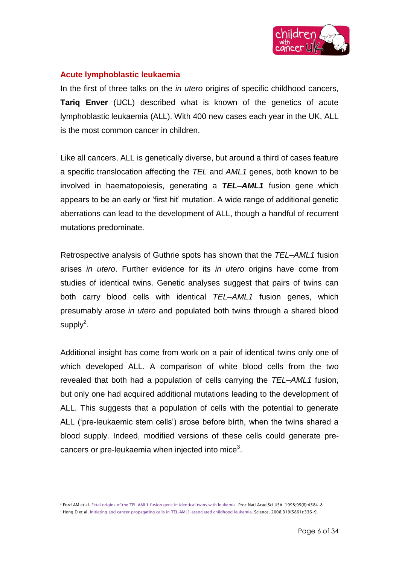

## **Acute lymphoblastic leukaemia**

In the first of three talks on the *in utero* origins of specific childhood cancers, **Tariq Enver** (UCL) described what is known of the genetics of acute lymphoblastic leukaemia (ALL). With 400 new cases each year in the UK, ALL is the most common cancer in children.

Like all cancers, ALL is genetically diverse, but around a third of cases feature a specific translocation affecting the *TEL* and *AML1* genes, both known to be involved in haematopoiesis, generating a *TEL–AML1* fusion gene which appears to be an early or 'first hit' mutation. A wide range of additional genetic aberrations can lead to the development of ALL, though a handful of recurrent mutations predominate.

Retrospective analysis of Guthrie spots has shown that the *TEL–AML1* fusion arises *in utero*. Further evidence for its *in utero* origins have come from studies of identical twins. Genetic analyses suggest that pairs of twins can both carry blood cells with identical *TEL–AML1* fusion genes, which presumably arose *in utero* and populated both twins through a shared blood supply $^2$ .

Additional insight has come from work on a pair of identical twins only one of which developed ALL. A comparison of white blood cells from the two revealed that both had a population of cells carrying the *TEL–AML1* fusion, but only one had acquired additional mutations leading to the development of ALL. This suggests that a population of cells with the potential to generate ALL ('pre-leukaemic stem cells') arose before birth, when the twins shared a blood supply. Indeed, modified versions of these cells could generate precancers or pre-leukaemia when injected into mice<sup>3</sup>.

 $\overline{a}$ 

<sup>2</sup> Ford AM et al[. Fetal origins of the TEL-AML1 fusion gene in identical twins with leukemia.](http://www.ncbi.nlm.nih.gov/pubmed/9539781) Proc Natl Acad Sci USA. 1998;95(8):4584–8. <sup>3</sup> Hong D et al[. Initiating and cancer-propagating cells in TEL-AML1-associated childhood](http://www.ncbi.nlm.nih.gov/pubmed/18202291) leukemia. Science. 2008;319(5861):336-9.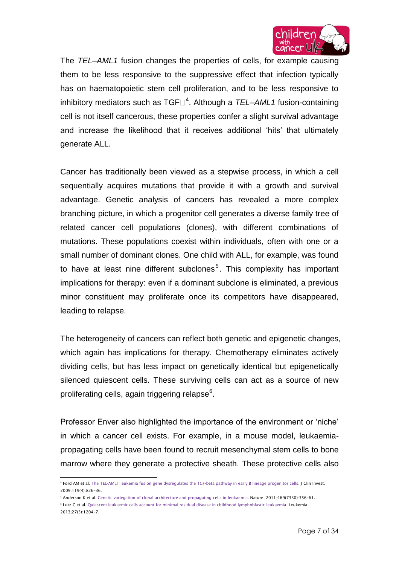

The *TEL–AML1* fusion changes the properties of cells, for example causing them to be less responsive to the suppressive effect that infection typically has on haematopoietic stem cell proliferation, and to be less responsive to inhibitory mediators such as TGF <sup>4</sup> . Although a *TEL–AML1* fusion-containing cell is not itself cancerous, these properties confer a slight survival advantage and increase the likelihood that it receives additional 'hits' that ultimately generate ALL.

Cancer has traditionally been viewed as a stepwise process, in which a cell sequentially acquires mutations that provide it with a growth and survival advantage. Genetic analysis of cancers has revealed a more complex branching picture, in which a progenitor cell generates a diverse family tree of related cancer cell populations (clones), with different combinations of mutations. These populations coexist within individuals, often with one or a small number of dominant clones. One child with ALL, for example, was found to have at least nine different subclones<sup>5</sup>. This complexity has important implications for therapy: even if a dominant subclone is eliminated, a previous minor constituent may proliferate once its competitors have disappeared, leading to relapse.

The heterogeneity of cancers can reflect both genetic and epigenetic changes, which again has implications for therapy. Chemotherapy eliminates actively dividing cells, but has less impact on genetically identical but epigenetically silenced quiescent cells. These surviving cells can act as a source of new proliferating cells, again triggering relapse $^6$ .

Professor Enver also highlighted the importance of the environment or 'niche' in which a cancer cell exists. For example, in a mouse model, leukaemiapropagating cells have been found to recruit mesenchymal stem cells to bone marrow where they generate a protective sheath. These protective cells also

 $^{\rm 6}$  Lutz C et al[. Quiescent leukaemic cells account for minimal residual disease in childhood lymphoblastic](http://www.ncbi.nlm.nih.gov/pubmed/23086103) leukaemia. Leukemia. 2013;27(5):1204–7.

 $\overline{a}$ 4 Ford AM et al[. The TEL-AML1 leukemia fusion gene dysregulates the TGF-beta pathway in early B lineage progenitor cells.](http://www.ncbi.nlm.nih.gov/pubmed/19287094) J Clin Invest. 2009;119(4):826–36.

<sup>5</sup> Anderson K et al. Genetic variegation [of clonal architecture and propagating cells in](http://www.ncbi.nlm.nih.gov/pubmed/21160474) leukaemia. Nature. 2011;469(7330):356–61.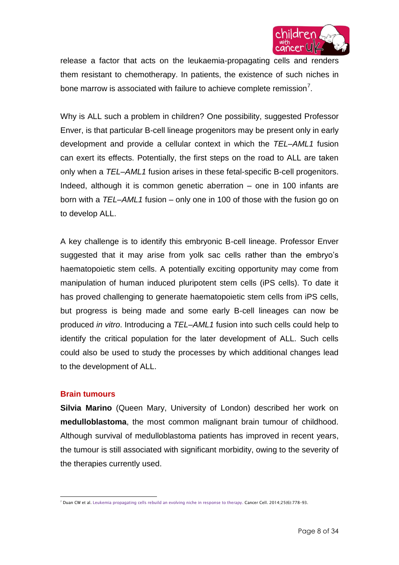

release a factor that acts on the leukaemia-propagating cells and renders them resistant to chemotherapy. In patients, the existence of such niches in bone marrow is associated with failure to achieve complete remission<sup>7</sup>.

Why is ALL such a problem in children? One possibility, suggested Professor Enver, is that particular B-cell lineage progenitors may be present only in early development and provide a cellular context in which the *TEL–AML1* fusion can exert its effects. Potentially, the first steps on the road to ALL are taken only when a *TEL–AML1* fusion arises in these fetal-specific B-cell progenitors. Indeed, although it is common genetic aberration – one in 100 infants are born with a *TEL–AML1* fusion – only one in 100 of those with the fusion go on to develop ALL.

A key challenge is to identify this embryonic B-cell lineage. Professor Enver suggested that it may arise from yolk sac cells rather than the embryo's haematopoietic stem cells. A potentially exciting opportunity may come from manipulation of human induced pluripotent stem cells (iPS cells). To date it has proved challenging to generate haematopoietic stem cells from iPS cells, but progress is being made and some early B-cell lineages can now be produced *in vitro*. Introducing a *TEL–AML1* fusion into such cells could help to identify the critical population for the later development of ALL. Such cells could also be used to study the processes by which additional changes lead to the development of ALL.

#### **Brain tumours**

**Silvia Marino** (Queen Mary, University of London) described her work on **medulloblastoma**, the most common malignant brain tumour of childhood. Although survival of medulloblastoma patients has improved in recent years, the tumour is still associated with significant morbidity, owing to the severity of the therapies currently used.

 <sup>7</sup> Duan CW et al. Leukemia [propagating cells rebuild an evolving niche in response to therapy.](http://www.ncbi.nlm.nih.gov/pubmed/24937459) Cancer Cell. 2014;25(6):778–93.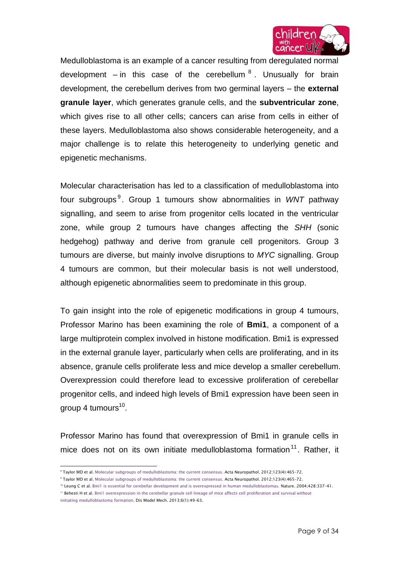

Medulloblastoma is an example of a cancer resulting from deregulated normal development – in this case of the cerebellum  ${}^{8}$ . Unusually for brain development, the cerebellum derives from two germinal layers – the **external granule layer**, which generates granule cells, and the **subventricular zone**, which gives rise to all other cells; cancers can arise from cells in either of these layers. Medulloblastoma also shows considerable heterogeneity, and a major challenge is to relate this heterogeneity to underlying genetic and epigenetic mechanisms.

Molecular characterisation has led to a classification of medulloblastoma into four subgroups <sup>9</sup> . Group 1 tumours show abnormalities in *WNT* pathway signalling, and seem to arise from progenitor cells located in the ventricular zone, while group 2 tumours have changes affecting the *SHH* (sonic hedgehog) pathway and derive from granule cell progenitors. Group 3 tumours are diverse, but mainly involve disruptions to *MYC* signalling. Group 4 tumours are common, but their molecular basis is not well understood, although epigenetic abnormalities seem to predominate in this group.

To gain insight into the role of epigenetic modifications in group 4 tumours, Professor Marino has been examining the role of **Bmi1**, a component of a large multiprotein complex involved in histone modification. Bmi1 is expressed in the external granule layer, particularly when cells are proliferating, and in its absence, granule cells proliferate less and mice develop a smaller cerebellum. Overexpression could therefore lead to excessive proliferation of cerebellar progenitor cells, and indeed high levels of Bmi1 expression have been seen in group 4 tumours<sup>10</sup>.

Professor Marino has found that overexpression of Bmi1 in granule cells in mice does not on its own initiate medulloblastoma formation<sup>11</sup>. Rather, it

 $\overline{a}$ <sup>8</sup> Taylor MD et al. Molecular subgroups [of medulloblastoma: the current](http://www.ncbi.nlm.nih.gov/pubmed/22134537) consensus. Acta Neuropathol. 2012;123(4):465–72.

<sup>9</sup> Taylor MD et al[. Molecular subgroups of medulloblastoma: the current](http://www.ncbi.nlm.nih.gov/pubmed/22134537) consensus. Acta Neuropathol. 2012;123(4):465–72.

<sup>10</sup> Leung C et al[. Bmi1 is essential for cerebellar development and is overexpressed in human medulloblastomas.](http://www.ncbi.nlm.nih.gov/pubmed/15029199) Nature. 2004;428:337-41.

<sup>&</sup>lt;sup>11</sup> Behesti H et al. Bmi1 overexpression in the cerebellar granule cell lineage of mice affects cell proliferation and survival without initiating [medulloblastoma](http://www.ncbi.nlm.nih.gov/pubmed/23065639) formation. Dis Model Mech. 2013;6(1):49–63.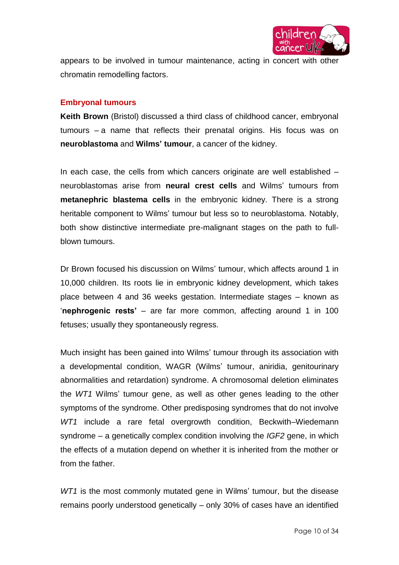

appears to be involved in tumour maintenance, acting in concert with other chromatin remodelling factors.

### **Embryonal tumours**

**Keith Brown** (Bristol) discussed a third class of childhood cancer, embryonal tumours – a name that reflects their prenatal origins. His focus was on **neuroblastoma** and **Wilms' tumour**, a cancer of the kidney.

In each case, the cells from which cancers originate are well established – neuroblastomas arise from **neural crest cells** and Wilms' tumours from **metanephric blastema cells** in the embryonic kidney. There is a strong heritable component to Wilms' tumour but less so to neuroblastoma. Notably, both show distinctive intermediate pre-malignant stages on the path to fullblown tumours.

Dr Brown focused his discussion on Wilms' tumour, which affects around 1 in 10,000 children. Its roots lie in embryonic kidney development, which takes place between 4 and 36 weeks gestation. Intermediate stages – known as '**nephrogenic rests'** – are far more common, affecting around 1 in 100 fetuses; usually they spontaneously regress.

Much insight has been gained into Wilms' tumour through its association with a developmental condition, WAGR (Wilms' tumour, aniridia, genitourinary abnormalities and retardation) syndrome. A chromosomal deletion eliminates the *WT1* Wilms' tumour gene, as well as other genes leading to the other symptoms of the syndrome. Other predisposing syndromes that do not involve *WT1* include a rare fetal overgrowth condition, Beckwith–Wiedemann syndrome – a genetically complex condition involving the *IGF2* gene, in which the effects of a mutation depend on whether it is inherited from the mother or from the father.

*WT1* is the most commonly mutated gene in Wilms' tumour, but the disease remains poorly understood genetically – only 30% of cases have an identified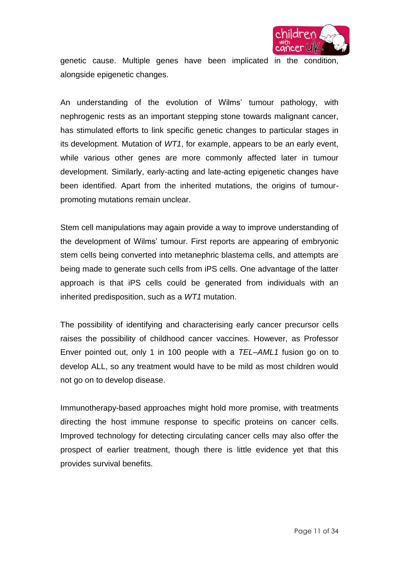

genetic cause. Multiple genes have been implicated in the condition, alongside epigenetic changes.

An understanding of the evolution of Wilms' tumour pathology, with nephrogenic rests as an important stepping stone towards malignant cancer, has stimulated efforts to link specific genetic changes to particular stages in its development. Mutation of *WT1*, for example, appears to be an early event, while various other genes are more commonly affected later in tumour development. Similarly, early-acting and late-acting epigenetic changes have been identified. Apart from the inherited mutations, the origins of tumourpromoting mutations remain unclear.

Stem cell manipulations may again provide a way to improve understanding of the development of Wilms' tumour. First reports are appearing of embryonic stem cells being converted into metanephric blastema cells, and attempts are being made to generate such cells from iPS cells. One advantage of the latter approach is that iPS cells could be generated from individuals with an inherited predisposition, such as a *WT1* mutation.

The possibility of identifying and characterising early cancer precursor cells raises the possibility of childhood cancer vaccines. However, as Professor Enver pointed out, only 1 in 100 people with a *TEL–AML1* fusion go on to develop ALL, so any treatment would have to be mild as most children would not go on to develop disease.

Immunotherapy-based approaches might hold more promise, with treatments directing the host immune response to specific proteins on cancer cells. Improved technology for detecting circulating cancer cells may also offer the prospect of earlier treatment, though there is little evidence yet that this provides survival benefits.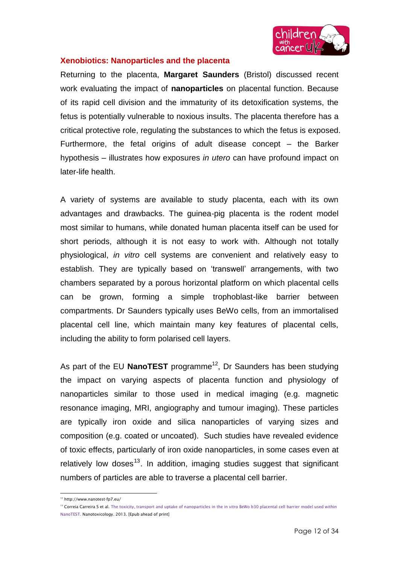

## **Xenobiotics: Nanoparticles and the placenta**

Returning to the placenta, **Margaret Saunders** (Bristol) discussed recent work evaluating the impact of **nanoparticles** on placental function. Because of its rapid cell division and the immaturity of its detoxification systems, the fetus is potentially vulnerable to noxious insults. The placenta therefore has a critical protective role, regulating the substances to which the fetus is exposed. Furthermore, the fetal origins of adult disease concept – the Barker hypothesis – illustrates how exposures *in utero* can have profound impact on later-life health.

A variety of systems are available to study placenta, each with its own advantages and drawbacks. The guinea-pig placenta is the rodent model most similar to humans, while donated human placenta itself can be used for short periods, although it is not easy to work with. Although not totally physiological, *in vitro* cell systems are convenient and relatively easy to establish. They are typically based on 'transwell' arrangements, with two chambers separated by a porous horizontal platform on which placental cells can be grown, forming a simple trophoblast-like barrier between compartments. Dr Saunders typically uses BeWo cells, from an immortalised placental cell line, which maintain many key features of placental cells, including the ability to form polarised cell layers.

As part of the EU **NanoTEST** programme<sup>12</sup>, Dr Saunders has been studying the impact on varying aspects of placenta function and physiology of nanoparticles similar to those used in medical imaging (e.g. magnetic resonance imaging, MRI, angiography and tumour imaging). These particles are typically iron oxide and silica nanoparticles of varying sizes and composition (e.g. coated or uncoated). Such studies have revealed evidence of toxic effects, particularly of iron oxide nanoparticles, in some cases even at relatively low doses<sup>13</sup>. In addition, imaging studies suggest that significant numbers of particles are able to traverse a placental cell barrier.

 $\overline{a}$ <sup>12</sup> http://www.nanotest-fp7.eu/

<sup>&</sup>lt;sup>13</sup> Correia Carreira S et al. The toxicity, transport and uptake of nanoparticles in the in vitro BeWo b30 placental cell barrier model used within [NanoTEST.](http://www.ncbi.nlm.nih.gov/pubmed/23927440) Nanotoxicology. 2013. [Epub ahead of print]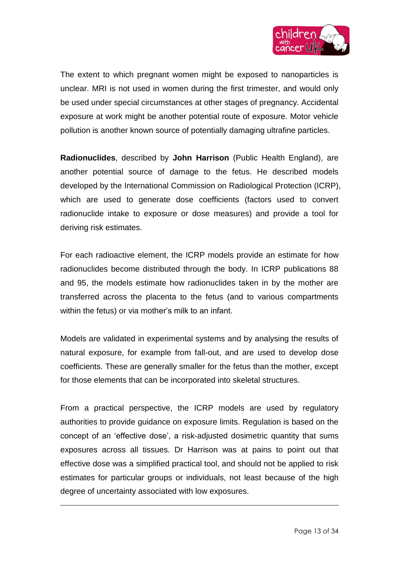

The extent to which pregnant women might be exposed to nanoparticles is unclear. MRI is not used in women during the first trimester, and would only be used under special circumstances at other stages of pregnancy. Accidental exposure at work might be another potential route of exposure. Motor vehicle pollution is another known source of potentially damaging ultrafine particles.

**Radionuclides**, described by **John Harrison** (Public Health England), are another potential source of damage to the fetus. He described models developed by the International Commission on Radiological Protection (ICRP), which are used to generate dose coefficients (factors used to convert radionuclide intake to exposure or dose measures) and provide a tool for deriving risk estimates.

For each radioactive element, the ICRP models provide an estimate for how radionuclides become distributed through the body. In ICRP publications 88 and 95, the models estimate how radionuclides taken in by the mother are transferred across the placenta to the fetus (and to various compartments within the fetus) or via mother's milk to an infant.

Models are validated in experimental systems and by analysing the results of natural exposure, for example from fall-out, and are used to develop dose coefficients. These are generally smaller for the fetus than the mother, except for those elements that can be incorporated into skeletal structures.

From a practical perspective, the ICRP models are used by regulatory authorities to provide guidance on exposure limits. Regulation is based on the concept of an 'effective dose', a risk-adjusted dosimetric quantity that sums exposures across all tissues. Dr Harrison was at pains to point out that effective dose was a simplified practical tool, and should not be applied to risk estimates for particular groups or individuals, not least because of the high degree of uncertainty associated with low exposures.

 $\overline{a}$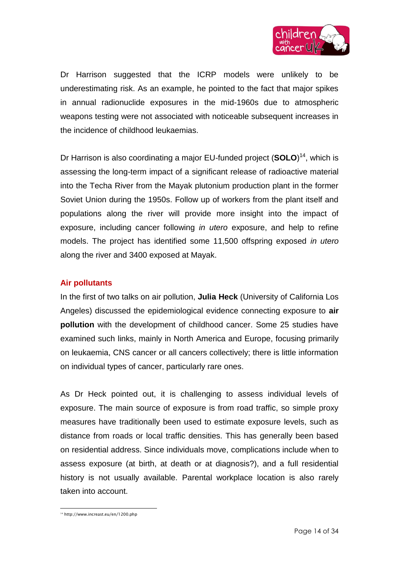

Dr Harrison suggested that the ICRP models were unlikely to be underestimating risk. As an example, he pointed to the fact that major spikes in annual radionuclide exposures in the mid-1960s due to atmospheric weapons testing were not associated with noticeable subsequent increases in the incidence of childhood leukaemias.

Dr Harrison is also coordinating a major EU-funded project (**SOLO**) <sup>14</sup>, which is assessing the long-term impact of a significant release of radioactive material into the Techa River from the Mayak plutonium production plant in the former Soviet Union during the 1950s. Follow up of workers from the plant itself and populations along the river will provide more insight into the impact of exposure, including cancer following *in utero* exposure, and help to refine models. The project has identified some 11,500 offspring exposed *in utero* along the river and 3400 exposed at Mayak.

## **Air pollutants**

In the first of two talks on air pollution, **Julia Heck** (University of California Los Angeles) discussed the epidemiological evidence connecting exposure to **air pollution** with the development of childhood cancer. Some 25 studies have examined such links, mainly in North America and Europe, focusing primarily on leukaemia, CNS cancer or all cancers collectively; there is little information on individual types of cancer, particularly rare ones.

As Dr Heck pointed out, it is challenging to assess individual levels of exposure. The main source of exposure is from road traffic, so simple proxy measures have traditionally been used to estimate exposure levels, such as distance from roads or local traffic densities. This has generally been based on residential address. Since individuals move, complications include when to assess exposure (at birth, at death or at diagnosis?), and a full residential history is not usually available. Parental workplace location is also rarely taken into account.

<sup>14&</sup>lt;br>14 http://www.increast.eu/en/1200.php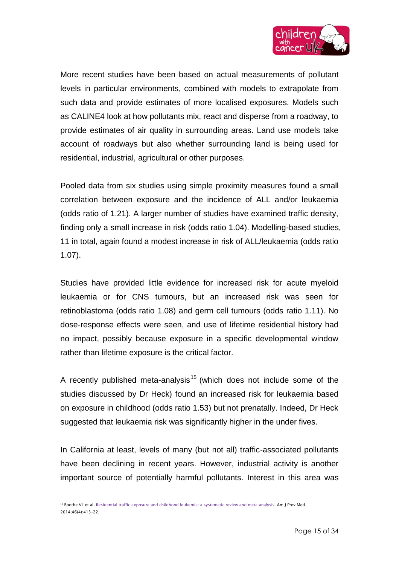

More recent studies have been based on actual measurements of pollutant levels in particular environments, combined with models to extrapolate from such data and provide estimates of more localised exposures. Models such as CALINE4 look at how pollutants mix, react and disperse from a roadway, to provide estimates of air quality in surrounding areas. Land use models take account of roadways but also whether surrounding land is being used for residential, industrial, agricultural or other purposes.

Pooled data from six studies using simple proximity measures found a small correlation between exposure and the incidence of ALL and/or leukaemia (odds ratio of 1.21). A larger number of studies have examined traffic density, finding only a small increase in risk (odds ratio 1.04). Modelling-based studies, 11 in total, again found a modest increase in risk of ALL/leukaemia (odds ratio 1.07).

Studies have provided little evidence for increased risk for acute myeloid leukaemia or for CNS tumours, but an increased risk was seen for retinoblastoma (odds ratio 1.08) and germ cell tumours (odds ratio 1.11). No dose-response effects were seen, and use of lifetime residential history had no impact, possibly because exposure in a specific developmental window rather than lifetime exposure is the critical factor.

A recently published meta-analysis<sup>15</sup> (which does not include some of the studies discussed by Dr Heck) found an increased risk for leukaemia based on exposure in childhood (odds ratio 1.53) but not prenatally. Indeed, Dr Heck suggested that leukaemia risk was significantly higher in the under fives.

In California at least, levels of many (but not all) traffic-associated pollutants have been declining in recent years. However, industrial activity is another important source of potentially harmful pollutants. Interest in this area was

 $\overline{a}$ <sup>15</sup> Boothe VL et al. Residential traffic exposure and childhood [leukemia: a systematic review and meta-analysis.](http://www.ncbi.nlm.nih.gov/pubmed/24650845) Am J Prev Med. 2014;46(4):413–22.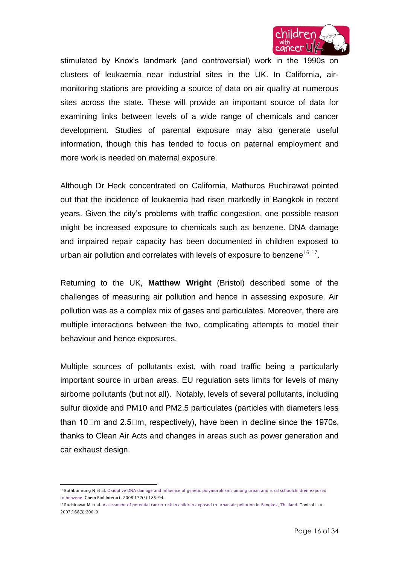

stimulated by Knox's landmark (and controversial) work in the 1990s on clusters of leukaemia near industrial sites in the UK. In California, airmonitoring stations are providing a source of data on air quality at numerous sites across the state. These will provide an important source of data for examining links between levels of a wide range of chemicals and cancer development. Studies of parental exposure may also generate useful information, though this has tended to focus on paternal employment and more work is needed on maternal exposure.

Although Dr Heck concentrated on California, Mathuros Ruchirawat pointed out that the incidence of leukaemia had risen markedly in Bangkok in recent years. Given the city's problems with traffic congestion, one possible reason might be increased exposure to chemicals such as benzene. DNA damage and impaired repair capacity has been documented in children exposed to urban air pollution and correlates with levels of exposure to benzene<sup>16 17</sup>.

Returning to the UK, **Matthew Wright** (Bristol) described some of the challenges of measuring air pollution and hence in assessing exposure. Air pollution was as a complex mix of gases and particulates. Moreover, there are multiple interactions between the two, complicating attempts to model their behaviour and hence exposures.

Multiple sources of pollutants exist, with road traffic being a particularly important source in urban areas. EU regulation sets limits for levels of many airborne pollutants (but not all). Notably, levels of several pollutants, including sulfur dioxide and PM10 and PM2.5 particulates (particles with diameters less than 10 $\Box$ m and 2.5 $\Box$ m, respectively), have been in decline since the 1970s, thanks to Clean Air Acts and changes in areas such as power generation and car exhaust design.

 $\overline{a}$ <sup>16</sup> Buthbumrung N et al. Oxidative DNA damage and influence of genetic polymorphisms among urban and rural schoolchildren exposed to [benzene.](http://www.ncbi.nlm.nih.gov/pubmed/18282563) Chem Biol Interact. 2008;172(3):185–94

<sup>&</sup>lt;sup>17</sup> Ruchirawat M et al[. Assessment of potential cancer risk in children exposed to urban air pollution in](http://www.ncbi.nlm.nih.gov/pubmed/17157453) Bangkok, Thailand. Toxicol Lett. 2007;168(3):200–9.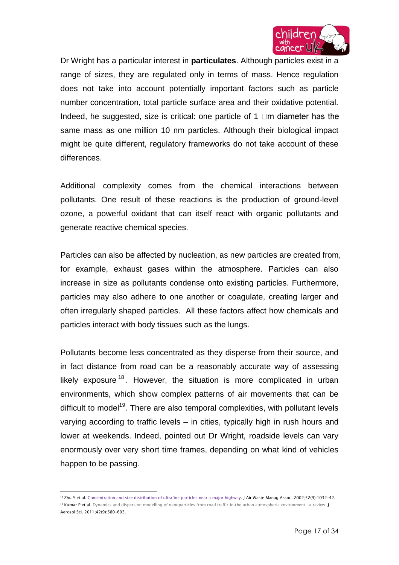

Dr Wright has a particular interest in **particulates**. Although particles exist in a range of sizes, they are regulated only in terms of mass. Hence regulation does not take into account potentially important factors such as particle number concentration, total particle surface area and their oxidative potential. Indeed, he suggested, size is critical: one particle of 1  $\Box$ m diameter has the same mass as one million 10 nm particles. Although their biological impact might be quite different, regulatory frameworks do not take account of these differences.

Additional complexity comes from the chemical interactions between pollutants. One result of these reactions is the production of ground-level ozone, a powerful oxidant that can itself react with organic pollutants and generate reactive chemical species.

Particles can also be affected by nucleation, as new particles are created from, for example, exhaust gases within the atmosphere. Particles can also increase in size as pollutants condense onto existing particles. Furthermore, particles may also adhere to one another or coagulate, creating larger and often irregularly shaped particles. All these factors affect how chemicals and particles interact with body tissues such as the lungs.

Pollutants become less concentrated as they disperse from their source, and in fact distance from road can be a reasonably accurate way of assessing likely exposure  $18$ . However, the situation is more complicated in urban environments, which show complex patterns of air movements that can be difficult to model<sup>19</sup>. There are also temporal complexities, with pollutant levels varying according to traffic levels – in cities, typically high in rush hours and lower at weekends. Indeed, pointed out Dr Wright, roadside levels can vary enormously over very short time frames, depending on what kind of vehicles happen to be passing.

 $\overline{a}$ 

<sup>&</sup>lt;sup>18</sup> Zhu Y et al[. Concentration and size distribution of ultrafine particles near a major highway.](http://www.ncbi.nlm.nih.gov/pubmed/12269664) J Air Waste Manag Assoc. 2002;52(9):1032-42. <sup>19</sup> Kumar P et al[. Dynamics and dispersion modelling of nanoparticles from road traffic in the urban atmospheric environment -](http://epubs.surrey.ac.uk/6411/) a review. J Aerosol Sci. 2011;42(9):580–603.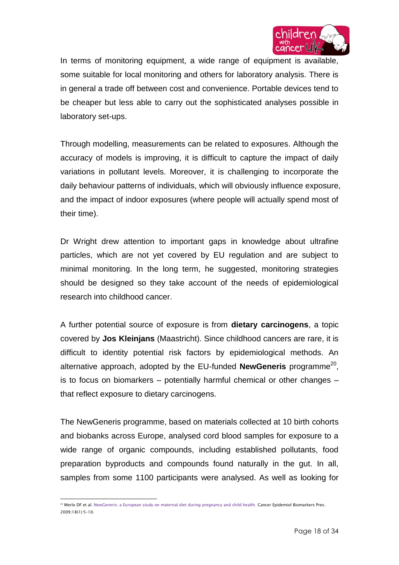

In terms of monitoring equipment, a wide range of equipment is available, some suitable for local monitoring and others for laboratory analysis. There is in general a trade off between cost and convenience. Portable devices tend to be cheaper but less able to carry out the sophisticated analyses possible in laboratory set-ups.

Through modelling, measurements can be related to exposures. Although the accuracy of models is improving, it is difficult to capture the impact of daily variations in pollutant levels. Moreover, it is challenging to incorporate the daily behaviour patterns of individuals, which will obviously influence exposure, and the impact of indoor exposures (where people will actually spend most of their time).

Dr Wright drew attention to important gaps in knowledge about ultrafine particles, which are not yet covered by EU regulation and are subject to minimal monitoring. In the long term, he suggested, monitoring strategies should be designed so they take account of the needs of epidemiological research into childhood cancer.

A further potential source of exposure is from **dietary carcinogens**, a topic covered by **Jos Kleinjans** (Maastricht). Since childhood cancers are rare, it is difficult to identity potential risk factors by epidemiological methods. An alternative approach, adopted by the EU-funded NewGeneris programme<sup>20</sup>, is to focus on biomarkers – potentially harmful chemical or other changes – that reflect exposure to dietary carcinogens.

The NewGeneris programme, based on materials collected at 10 birth cohorts and biobanks across Europe, analysed cord blood samples for exposure to a wide range of organic compounds, including established pollutants, food preparation byproducts and compounds found naturally in the gut. In all, samples from some 1100 participants were analysed. As well as looking for

 $\overline{a}$ 20 Merlo DF et al[. NewGeneris: a European study on maternal diet during pregnancy and child health.](http://www.ncbi.nlm.nih.gov/pubmed/19124475) Cancer Epidemiol Biomarkers Prev. 2009;18(1):5–10.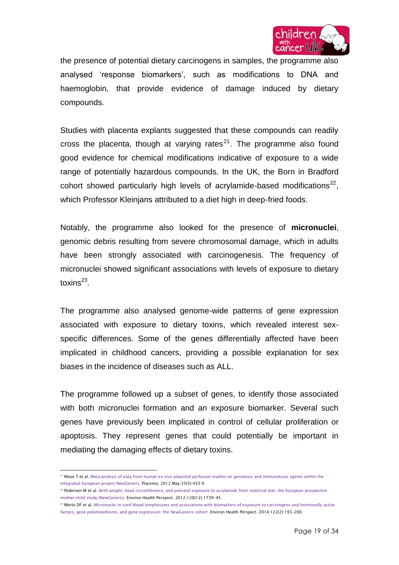

the presence of potential dietary carcinogens in samples, the programme also analysed 'response biomarkers', such as modifications to DNA and haemoglobin, that provide evidence of damage induced by dietary compounds.

Studies with placenta explants suggested that these compounds can readily cross the placenta, though at varying rates $^{21}$ . The programme also found good evidence for chemical modifications indicative of exposure to a wide range of potentially hazardous compounds. In the UK, the Born in Bradford cohort showed particularly high levels of acrylamide-based modifications<sup>22</sup>, which Professor Kleinjans attributed to a diet high in deep-fried foods.

Notably, the programme also looked for the presence of **micronuclei**, genomic debris resulting from severe chromosomal damage, which in adults have been strongly associated with carcinogenesis. The frequency of micronuclei showed significant associations with levels of exposure to dietary toxins<sup>23</sup>.

The programme also analysed genome-wide patterns of gene expression associated with exposure to dietary toxins, which revealed interest sexspecific differences. Some of the genes differentially affected have been implicated in childhood cancers, providing a possible explanation for sex biases in the incidence of diseases such as ALL.

The programme followed up a subset of genes, to identify those associated with both micronuclei formation and an exposure biomarker. Several such genes have previously been implicated in control of cellular proliferation or apoptosis. They represent genes that could potentially be important in mediating the damaging effects of dietary toxins.

 $\overline{a}$ <sup>21</sup> Mose T et al. Meta-analysis of data from human ex vivo placental perfusion studies on genotoxic and immunotoxic agents within the [integrated European project NewGeneris.](http://www.ncbi.nlm.nih.gov/pubmed/22374511) Placenta. 2012 May;33(5):433-9.

<sup>&</sup>lt;sup>22</sup> Pedersen M et al[. Birth weight, head circumference, and prenatal exposure to](http://www.ncbi.nlm.nih.gov/pubmed/23092936) acrylamide from maternal diet: the European prospective [mother-child study \(NewGeneris\).](http://www.ncbi.nlm.nih.gov/pubmed/23092936) Environ Health Perspect. 2012;120(12):1739–45.

<sup>&</sup>lt;sup>23</sup> Merlo DF et al. Micronuclei in cord blood lymphocytes and associations with biomarkers of exposure to carcinogens and hormonally active [factors, gene polymorphisms, and gene expression: the](http://www.ncbi.nlm.nih.gov/pubmed/24252472) NewGeneris cohort. Environ Health Perspect. 2014;122(2):193–200.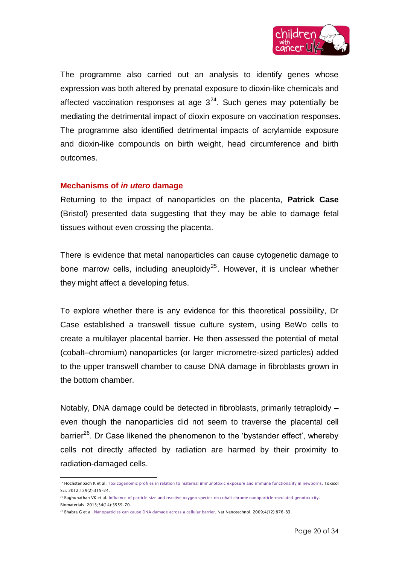

The programme also carried out an analysis to identify genes whose expression was both altered by prenatal exposure to dioxin-like chemicals and affected vaccination responses at age  $3^{24}$ . Such genes may potentially be mediating the detrimental impact of dioxin exposure on vaccination responses. The programme also identified detrimental impacts of acrylamide exposure and dioxin-like compounds on birth weight, head circumference and birth outcomes.

#### **Mechanisms of** *in utero* **damage**

Returning to the impact of nanoparticles on the placenta, **Patrick Case** (Bristol) presented data suggesting that they may be able to damage fetal tissues without even crossing the placenta.

There is evidence that metal nanoparticles can cause cytogenetic damage to bone marrow cells, including aneuploidy<sup>25</sup>. However, it is unclear whether they might affect a developing fetus.

To explore whether there is any evidence for this theoretical possibility, Dr Case established a transwell tissue culture system, using BeWo cells to create a multilayer placental barrier. He then assessed the potential of metal (cobalt–chromium) nanoparticles (or larger micrometre-sized particles) added to the upper transwell chamber to cause DNA damage in fibroblasts grown in the bottom chamber.

Notably, DNA damage could be detected in fibroblasts, primarily tetraploidy – even though the nanoparticles did not seem to traverse the placental cell barrier<sup>26</sup>. Dr Case likened the phenomenon to the 'bystander effect', whereby cells not directly affected by radiation are harmed by their proximity to radiation-damaged cells.

Biomaterials. 2013;34(14):3559–70.

 $\overline{a}$ 

<sup>24</sup> Hochstenbach K et al[. Toxicogenomic profiles in relation to maternal immunotoxic](http://www.ncbi.nlm.nih.gov/pubmed/22738990) exposure and immune functionality in newborns. Toxicol Sci. 2012;129(2):315–24.

<sup>&</sup>lt;sup>25</sup> Raghunathan VK et al[. Influence of particle size and reactive oxygen species on cobalt chrome nanoparticle-mediated](http://www.ncbi.nlm.nih.gov/pubmed/23433773) genotoxicity.

<sup>26</sup> Bhabra G et al[. Nanoparticles can cause DNA damage across a cellular barrier.](http://www.ncbi.nlm.nih.gov/pubmed/19893513) Nat Nanotechnol. 2009;4(12):876–83.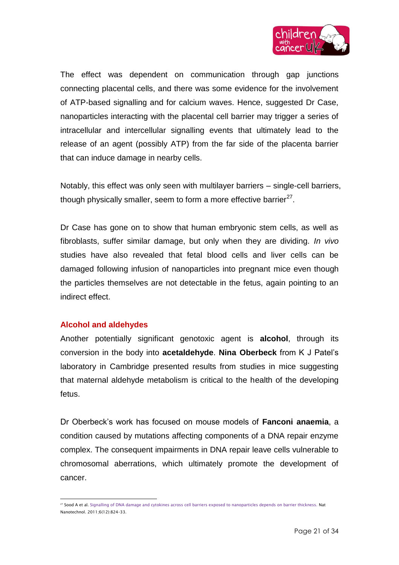

The effect was dependent on communication through gap junctions connecting placental cells, and there was some evidence for the involvement of ATP-based signalling and for calcium waves. Hence, suggested Dr Case, nanoparticles interacting with the placental cell barrier may trigger a series of intracellular and intercellular signalling events that ultimately lead to the release of an agent (possibly ATP) from the far side of the placenta barrier that can induce damage in nearby cells.

Notably, this effect was only seen with multilayer barriers – single-cell barriers, though physically smaller, seem to form a more effective barrier $^{27}$ .

Dr Case has gone on to show that human embryonic stem cells, as well as fibroblasts, suffer similar damage, but only when they are dividing. *In vivo* studies have also revealed that fetal blood cells and liver cells can be damaged following infusion of nanoparticles into pregnant mice even though the particles themselves are not detectable in the fetus, again pointing to an indirect effect.

## **Alcohol and aldehydes**

Another potentially significant genotoxic agent is **alcohol**, through its conversion in the body into **acetaldehyde**. **Nina Oberbeck** from K J Patel's laboratory in Cambridge presented results from studies in mice suggesting that maternal aldehyde metabolism is critical to the health of the developing fetus.

Dr Oberbeck's work has focused on mouse models of **Fanconi anaemia**, a condition caused by mutations affecting components of a DNA repair enzyme complex. The consequent impairments in DNA repair leave cells vulnerable to chromosomal aberrations, which ultimately promote the development of cancer.

 $\overline{\phantom{a}}$ <sup>27</sup> Sood A et al[. Signalling of DNA damage and cytokines across cell barriers exposed to nanoparticles depends on barrier thickness.](http://www.ncbi.nlm.nih.gov/pubmed/22056725) Nat Nanotechnol. 2011;6(12):824–33.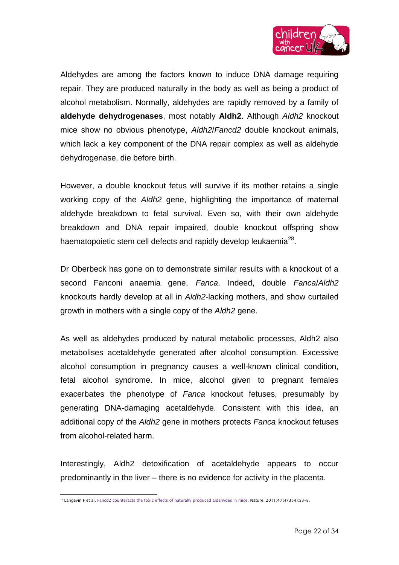

Aldehydes are among the factors known to induce DNA damage requiring repair. They are produced naturally in the body as well as being a product of alcohol metabolism. Normally, aldehydes are rapidly removed by a family of **aldehyde dehydrogenases**, most notably **Aldh2**. Although *Aldh2* knockout mice show no obvious phenotype, *Aldh2*/*Fancd2* double knockout animals, which lack a key component of the DNA repair complex as well as aldehyde dehydrogenase, die before birth.

However, a double knockout fetus will survive if its mother retains a single working copy of the *Aldh2* gene, highlighting the importance of maternal aldehyde breakdown to fetal survival. Even so, with their own aldehyde breakdown and DNA repair impaired, double knockout offspring show haematopoietic stem cell defects and rapidly develop leukaemia $^{28}$ .

Dr Oberbeck has gone on to demonstrate similar results with a knockout of a second Fanconi anaemia gene, *Fanca*. Indeed, double *Fanca*/*Aldh2* knockouts hardly develop at all in *Aldh2*-lacking mothers, and show curtailed growth in mothers with a single copy of the *Aldh2* gene.

As well as aldehydes produced by natural metabolic processes, Aldh2 also metabolises acetaldehyde generated after alcohol consumption. Excessive alcohol consumption in pregnancy causes a well-known clinical condition, fetal alcohol syndrome. In mice, alcohol given to pregnant females exacerbates the phenotype of *Fanca* knockout fetuses, presumably by generating DNA-damaging acetaldehyde. Consistent with this idea, an additional copy of the *Aldh2* gene in mothers protects *Fanca* knockout fetuses from alcohol-related harm.

Interestingly, Aldh2 detoxification of acetaldehyde appears to occur predominantly in the liver – there is no evidence for activity in the placenta.

 $\overline{\phantom{a}}$ <sup>28</sup> Langevin F et al[. Fancd2 counteracts the toxic effects of naturally produced aldehydes in mice.](http://www.ncbi.nlm.nih.gov/pubmed/21734703) Nature. 2011;475(7354):53-8.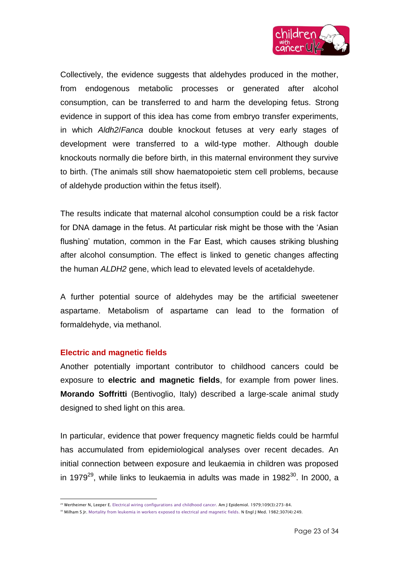

Collectively, the evidence suggests that aldehydes produced in the mother, from endogenous metabolic processes or generated after alcohol consumption, can be transferred to and harm the developing fetus. Strong evidence in support of this idea has come from embryo transfer experiments, in which *Aldh2*/*Fanca* double knockout fetuses at very early stages of development were transferred to a wild-type mother. Although double knockouts normally die before birth, in this maternal environment they survive to birth. (The animals still show haematopoietic stem cell problems, because of aldehyde production within the fetus itself).

The results indicate that maternal alcohol consumption could be a risk factor for DNA damage in the fetus. At particular risk might be those with the 'Asian flushing' mutation, common in the Far East, which causes striking blushing after alcohol consumption. The effect is linked to genetic changes affecting the human *ALDH2* gene, which lead to elevated levels of acetaldehyde.

A further potential source of aldehydes may be the artificial sweetener aspartame. Metabolism of aspartame can lead to the formation of formaldehyde, via methanol.

#### **Electric and magnetic fields**

Another potentially important contributor to childhood cancers could be exposure to **electric and magnetic fields**, for example from power lines. **Morando Soffritti** (Bentivoglio, Italy) described a large-scale animal study designed to shed light on this area.

In particular, evidence that power frequency magnetic fields could be harmful has accumulated from epidemiological analyses over recent decades. An initial connection between exposure and leukaemia in children was proposed in 1979<sup>29</sup>, while links to leukaemia in adults was made in 1982<sup>30</sup>. In 2000, a

 $\overline{\phantom{a}}$ <sup>29</sup> Wertheimer N, Leeper E[. Electrical wiring configurations and childhood cancer.](http://www.ncbi.nlm.nih.gov/pubmed/453167) Am J Epidemiol. 1979;109(3):273–84.

<sup>&</sup>lt;sup>30</sup> Milham S Jr. Mortality from leukemia [in workers exposed to electrical and magnetic fields.](http://www.ncbi.nlm.nih.gov/pubmed/7088076) N Engl J Med. 1982;307(4):249.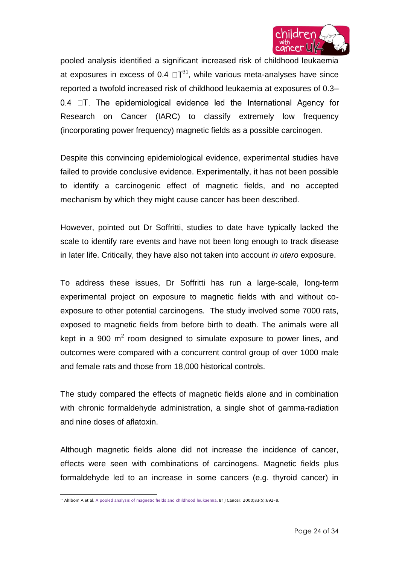

pooled analysis identified a significant increased risk of childhood leukaemia at exposures in excess of 0.4  $\Box$  $T^{31}$ , while various meta-analyses have since reported a twofold increased risk of childhood leukaemia at exposures of 0.3– 0.4  $\Box$ T. The epidemiological evidence led the International Agency for Research on Cancer (IARC) to classify extremely low frequency (incorporating power frequency) magnetic fields as a possible carcinogen.

Despite this convincing epidemiological evidence, experimental studies have failed to provide conclusive evidence. Experimentally, it has not been possible to identify a carcinogenic effect of magnetic fields, and no accepted mechanism by which they might cause cancer has been described.

However, pointed out Dr Soffritti, studies to date have typically lacked the scale to identify rare events and have not been long enough to track disease in later life. Critically, they have also not taken into account *in utero* exposure.

To address these issues, Dr Soffritti has run a large-scale, long-term experimental project on exposure to magnetic fields with and without coexposure to other potential carcinogens. The study involved some 7000 rats, exposed to magnetic fields from before birth to death. The animals were all kept in a 900  $m^2$  room designed to simulate exposure to power lines, and outcomes were compared with a concurrent control group of over 1000 male and female rats and those from 18,000 historical controls.

The study compared the effects of magnetic fields alone and in combination with chronic formaldehyde administration, a single shot of gamma-radiation and nine doses of aflatoxin.

Although magnetic fields alone did not increase the incidence of cancer, effects were seen with combinations of carcinogens. Magnetic fields plus formaldehyde led to an increase in some cancers (e.g. thyroid cancer) in

 $\overline{\phantom{a}}$ <sup>31</sup> Ahlbom A et al[. A pooled analysis of magnetic fields and childhood](http://www.ncbi.nlm.nih.gov/pubmed/10944614) leukaemia. Br J Cancer. 2000;83(5):692-8.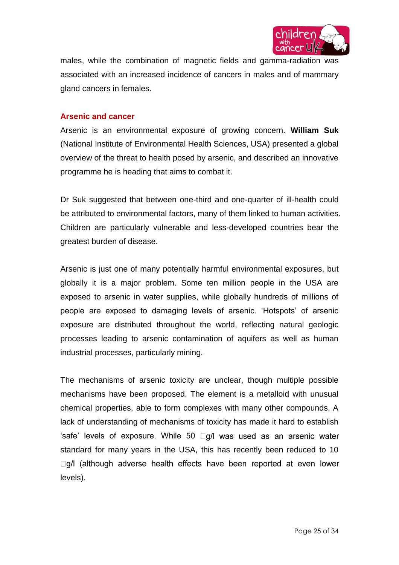

males, while the combination of magnetic fields and gamma-radiation was associated with an increased incidence of cancers in males and of mammary gland cancers in females.

### **Arsenic and cancer**

Arsenic is an environmental exposure of growing concern. **William Suk** (National Institute of Environmental Health Sciences, USA) presented a global overview of the threat to health posed by arsenic, and described an innovative programme he is heading that aims to combat it.

Dr Suk suggested that between one-third and one-quarter of ill-health could be attributed to environmental factors, many of them linked to human activities. Children are particularly vulnerable and less-developed countries bear the greatest burden of disease.

Arsenic is just one of many potentially harmful environmental exposures, but globally it is a major problem. Some ten million people in the USA are exposed to arsenic in water supplies, while globally hundreds of millions of people are exposed to damaging levels of arsenic. 'Hotspots' of arsenic exposure are distributed throughout the world, reflecting natural geologic processes leading to arsenic contamination of aquifers as well as human industrial processes, particularly mining.

The mechanisms of arsenic toxicity are unclear, though multiple possible mechanisms have been proposed. The element is a metalloid with unusual chemical properties, able to form complexes with many other compounds. A lack of understanding of mechanisms of toxicity has made it hard to establish 'safe' levels of exposure. While 50  $\Box$ g/l was used as an arsenic water standard for many years in the USA, this has recently been reduced to 10  $\Box$ g/l (although adverse health effects have been reported at even lower levels).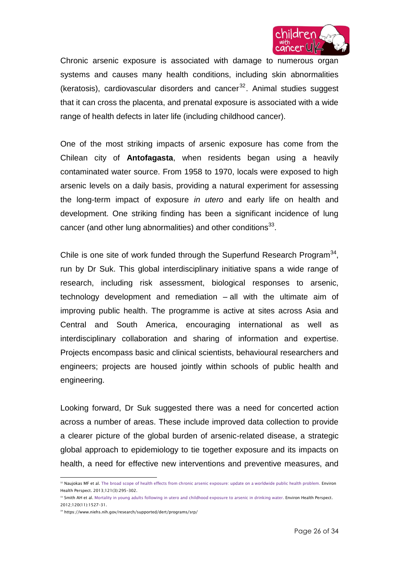

Chronic arsenic exposure is associated with damage to numerous organ systems and causes many health conditions, including skin abnormalities (keratosis), cardiovascular disorders and cancer $32$ . Animal studies suggest that it can cross the placenta, and prenatal exposure is associated with a wide range of health defects in later life (including childhood cancer).

One of the most striking impacts of arsenic exposure has come from the Chilean city of **Antofagasta**, when residents began using a heavily contaminated water source. From 1958 to 1970, locals were exposed to high arsenic levels on a daily basis, providing a natural experiment for assessing the long-term impact of exposure *in utero* and early life on health and development. One striking finding has been a significant incidence of lung cancer (and other lung abnormalities) and other conditions $^{33}$ .

Chile is one site of work funded through the Superfund Research Program $^{34}$ , run by Dr Suk. This global interdisciplinary initiative spans a wide range of research, including risk assessment, biological responses to arsenic, technology development and remediation – all with the ultimate aim of improving public health. The programme is active at sites across Asia and Central and South America, encouraging international as well as interdisciplinary collaboration and sharing of information and expertise. Projects encompass basic and clinical scientists, behavioural researchers and engineers; projects are housed jointly within schools of public health and engineering.

Looking forward, Dr Suk suggested there was a need for concerted action across a number of areas. These include improved data collection to provide a clearer picture of the global burden of arsenic-related disease, a strategic global approach to epidemiology to tie together exposure and its impacts on health, a need for effective new interventions and preventive measures, and

 $\overline{a}$ 

<sup>32</sup> Naujokas MF et al[. The broad scope of health effects from chronic arsenic exposure: update on a worldwide public health problem.](http://www.ncbi.nlm.nih.gov/pubmed/23458756) Environ Health Perspect. 2013;121(3):295–302.

<sup>33</sup> Smith AH et al[. Mortality in young adults following in utero and childhood exposure to arsenic in drinking water.](http://www.ncbi.nlm.nih.gov/pubmed/22949133) Environ Health Perspect. 2012;120(11):1527–31.

<sup>34</sup> https://www.niehs.nih.gov/research/supported/dert/programs/srp/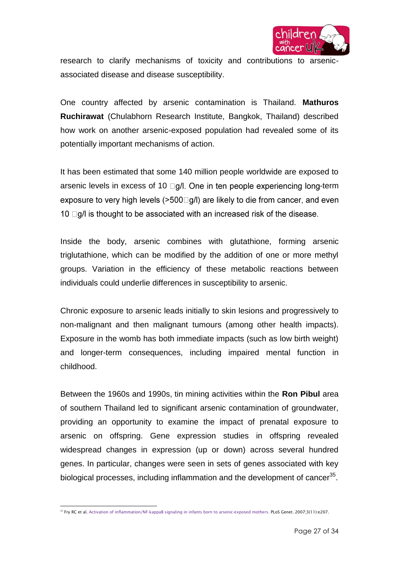

research to clarify mechanisms of toxicity and contributions to arsenicassociated disease and disease susceptibility.

One country affected by arsenic contamination is Thailand. **Mathuros Ruchirawat** (Chulabhorn Research Institute, Bangkok, Thailand) described how work on another arsenic-exposed population had revealed some of its potentially important mechanisms of action.

It has been estimated that some 140 million people worldwide are exposed to arsenic levels in excess of 10  $\Box$ g/l. One in ten people experiencing long-term exposure to very high levels ( $>500$   $\Box$  g/l) are likely to die from cancer, and even 10  $\Box$ g/l is thought to be associated with an increased risk of the disease.

Inside the body, arsenic combines with glutathione, forming arsenic triglutathione, which can be modified by the addition of one or more methyl groups. Variation in the efficiency of these metabolic reactions between individuals could underlie differences in susceptibility to arsenic.

Chronic exposure to arsenic leads initially to skin lesions and progressively to non-malignant and then malignant tumours (among other health impacts). Exposure in the womb has both immediate impacts (such as low birth weight) and longer-term consequences, including impaired mental function in childhood.

Between the 1960s and 1990s, tin mining activities within the **Ron Pibul** area of southern Thailand led to significant arsenic contamination of groundwater, providing an opportunity to examine the impact of prenatal exposure to arsenic on offspring. Gene expression studies in offspring revealed widespread changes in expression (up or down) across several hundred genes. In particular, changes were seen in sets of genes associated with key biological processes, including inflammation and the development of cancer $^{35}$ .

 <sup>35</sup> Fry RC et al. Activation of inflammation/NF-kappaB [signaling in infants born to arsenic-exposed mothers.](http://www.ncbi.nlm.nih.gov/pubmed/18039032) PLoS Genet. 2007;3(11):e207.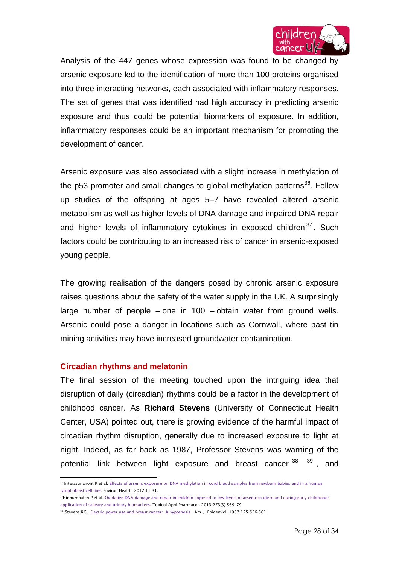

Analysis of the 447 genes whose expression was found to be changed by arsenic exposure led to the identification of more than 100 proteins organised into three interacting networks, each associated with inflammatory responses. The set of genes that was identified had high accuracy in predicting arsenic exposure and thus could be potential biomarkers of exposure. In addition, inflammatory responses could be an important mechanism for promoting the development of cancer.

Arsenic exposure was also associated with a slight increase in methylation of the p53 promoter and small changes to global methylation patterns<sup>36</sup>. Follow up studies of the offspring at ages 5–7 have revealed altered arsenic metabolism as well as higher levels of DNA damage and impaired DNA repair and higher levels of inflammatory cytokines in exposed children<sup>37</sup>. Such factors could be contributing to an increased risk of cancer in arsenic-exposed young people.

The growing realisation of the dangers posed by chronic arsenic exposure raises questions about the safety of the water supply in the UK. A surprisingly large number of people – one in 100 – obtain water from ground wells. Arsenic could pose a danger in locations such as Cornwall, where past tin mining activities may have increased groundwater contamination.

#### **Circadian rhythms and melatonin**

The final session of the meeting touched upon the intriguing idea that disruption of daily (circadian) rhythms could be a factor in the development of childhood cancer. As **Richard Stevens** (University of Connecticut Health Center, USA) pointed out, there is growing evidence of the harmful impact of circadian rhythm disruption, generally due to increased exposure to light at night. Indeed, as far back as 1987, Professor Stevens was warning of the potential link between light exposure and breast cancer<sup>38 39</sup>, and

 $\overline{\phantom{a}}$ <sup>36</sup> Intarasunanont P et al[. Effects of arsenic exposure on DNA methylation in cord blood samples from newborn babies](http://www.ncbi.nlm.nih.gov/pubmed/22551203) and in a human [lymphoblast cell line.](http://www.ncbi.nlm.nih.gov/pubmed/22551203) Environ Health. 2012;11:31.

<sup>&</sup>lt;sup>37</sup>Hinhumpatch P et al. Oxidative DNA damage and repair in children exposed to low levels of arsenic in utero and during early childhood: [application of salivary and urinary biomarkers.](http://www.ncbi.nlm.nih.gov/pubmed/24128852) Toxicol Appl Pharmacol. 2013;273(3):569–79.

<sup>38</sup> Stevens RG. Electric power use and breast cancer: A hypothesis. Am. J. Epidemiol. 1987;**125**:556-561.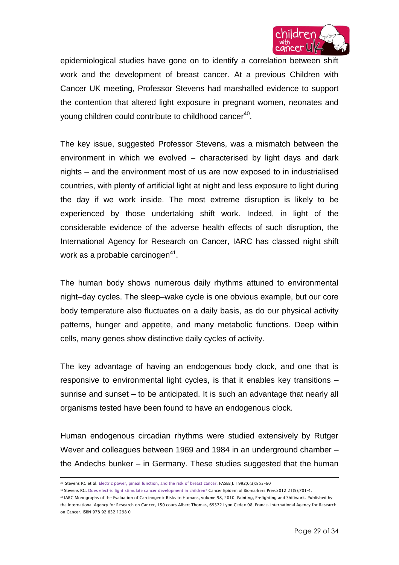

epidemiological studies have gone on to identify a correlation between shift work and the development of breast cancer. At a previous Children with Cancer UK meeting, Professor Stevens had marshalled evidence to support the contention that altered light exposure in pregnant women, neonates and young children could contribute to childhood cancer $^{\rm 40}.$ 

The key issue, suggested Professor Stevens, was a mismatch between the environment in which we evolved – characterised by light days and dark nights – and the environment most of us are now exposed to in industrialised countries, with plenty of artificial light at night and less exposure to light during the day if we work inside. The most extreme disruption is likely to be experienced by those undertaking shift work. Indeed, in light of the considerable evidence of the adverse health effects of such disruption, the International Agency for Research on Cancer, IARC has classed night shift work as a probable carcinogen $^{\rm 41}$ .

The human body shows numerous daily rhythms attuned to environmental night–day cycles. The sleep–wake cycle is one obvious example, but our core body temperature also fluctuates on a daily basis, as do our physical activity patterns, hunger and appetite, and many metabolic functions. Deep within cells, many genes show distinctive daily cycles of activity.

The key advantage of having an endogenous body clock, and one that is responsive to environmental light cycles, is that it enables key transitions – sunrise and sunset – to be anticipated. It is such an advantage that nearly all organisms tested have been found to have an endogenous clock.

Human endogenous circadian rhythms were studied extensively by Rutger Wever and colleagues between 1969 and 1984 in an underground chamber – the Andechs bunker – in Germany. These studies suggested that the human

 $\overline{\phantom{a}}$ <sup>39</sup> Stevens RG et al[. Electric power, pineal function, and the risk of](http://www.ncbi.nlm.nih.gov/pubmed/1740235) breast cancer. FASEB J. 1992;6(3):853–60

<sup>40</sup> Stevens RG. Does electric light stimulate cancer development in children? Cancer Epidemiol Biomarkers Prev.2012;21(5);701-4.

<sup>41</sup> IARC Monographs of the Evaluation of Carcinogenic Risks to Humans, volume 98, 2010: Painting, Frefighting and Shiftwork. Published by the International Agency for Research on Cancer, 150 cours Albert Thomas, 69372 Lyon Cedex 08, France. International Agency for Research on Cancer. ISBN 978 92 832 1298 0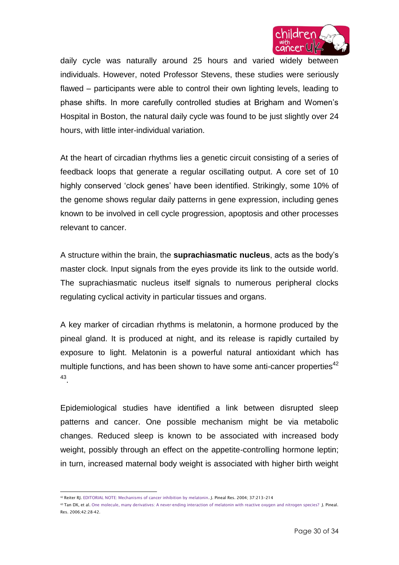

daily cycle was naturally around 25 hours and varied widely between individuals. However, noted Professor Stevens, these studies were seriously flawed – participants were able to control their own lighting levels, leading to phase shifts. In more carefully controlled studies at Brigham and Women's Hospital in Boston, the natural daily cycle was found to be just slightly over 24 hours, with little inter-individual variation.

At the heart of circadian rhythms lies a genetic circuit consisting of a series of feedback loops that generate a regular oscillating output. A core set of 10 highly conserved 'clock genes' have been identified. Strikingly, some 10% of the genome shows regular daily patterns in gene expression, including genes known to be involved in cell cycle progression, apoptosis and other processes relevant to cancer.

A structure within the brain, the **suprachiasmatic nucleus**, acts as the body's master clock. Input signals from the eyes provide its link to the outside world. The suprachiasmatic nucleus itself signals to numerous peripheral clocks regulating cyclical activity in particular tissues and organs.

A key marker of circadian rhythms is melatonin, a hormone produced by the pineal gland. It is produced at night, and its release is rapidly curtailed by exposure to light. Melatonin is a powerful natural antioxidant which has multiple functions, and has been shown to have some anti-cancer properties<sup>42</sup> 43 .

Epidemiological studies have identified a link between disrupted sleep patterns and cancer. One possible mechanism might be via metabolic changes. Reduced sleep is known to be associated with increased body weight, possibly through an effect on the appetite-controlling hormone leptin; in turn, increased maternal body weight is associated with higher birth weight

 <sup>42</sup> Reiter RJ. EDITORIAL NOTE: Mechanisms of cancer inhibition by melatonin. J. Pineal Res. 2004; 37:213–214

<sup>43</sup> Tan DX, et al. One molecule, many derivatives: A never-ending interaction of melatonin with reactive oxygen and nitrogen species? J. Pineal. Res. 2006;42:28-42.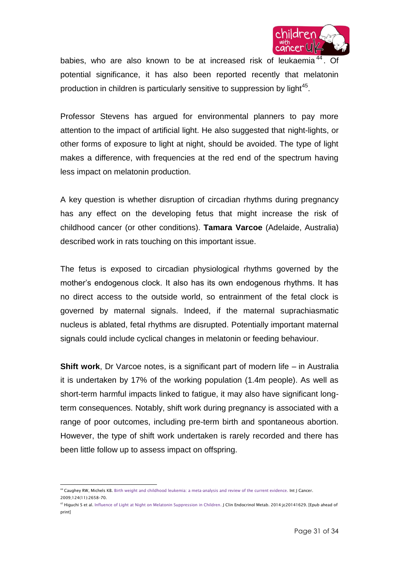

babies, who are also known to be at increased risk of leukaemia<sup>44</sup>. Of potential significance, it has also been reported recently that melatonin production in children is particularly sensitive to suppression by light $45$ .

Professor Stevens has argued for environmental planners to pay more attention to the impact of artificial light. He also suggested that night-lights, or other forms of exposure to light at night, should be avoided. The type of light makes a difference, with frequencies at the red end of the spectrum having less impact on melatonin production.

A key question is whether disruption of circadian rhythms during pregnancy has any effect on the developing fetus that might increase the risk of childhood cancer (or other conditions). **Tamara Varcoe** (Adelaide, Australia) described work in rats touching on this important issue.

The fetus is exposed to circadian physiological rhythms governed by the mother's endogenous clock. It also has its own endogenous rhythms. It has no direct access to the outside world, so entrainment of the fetal clock is governed by maternal signals. Indeed, if the maternal suprachiasmatic nucleus is ablated, fetal rhythms are disrupted. Potentially important maternal signals could include cyclical changes in melatonin or feeding behaviour.

**Shift work**, Dr Varcoe notes, is a significant part of modern life – in Australia it is undertaken by 17% of the working population (1.4m people). As well as short-term harmful impacts linked to fatigue, it may also have significant longterm consequences. Notably, shift work during pregnancy is associated with a range of poor outcomes, including pre-term birth and spontaneous abortion. However, the type of shift work undertaken is rarely recorded and there has been little follow up to assess impact on offspring.

<sup>&</sup>lt;sub>44</sub><br>In Caughey RW, Michels KB[. Birth weight and childhood leukemia: a meta-analysis and review of the current evidence.](http://www.ncbi.nlm.nih.gov/pubmed/19173295) Int J Cancer. 2009;124(11):2658–70.

<sup>&</sup>lt;sup>45</sup> Higuchi S et al[. Influence of Light at Night on Melatonin Suppression in Children.](http://www.ncbi.nlm.nih.gov/pubmed/24840814) J Clin Endocrinol Metab. 2014:jc20141629. [Epub ahead of print]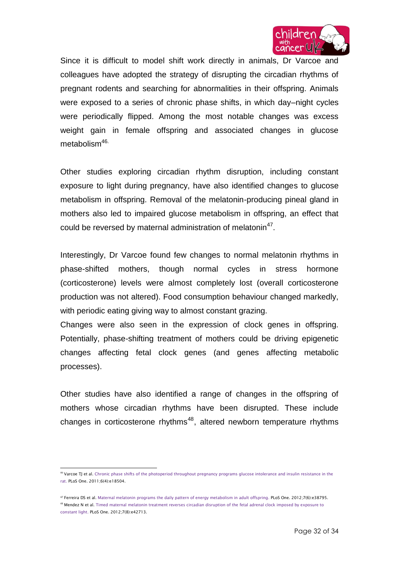

Since it is difficult to model shift work directly in animals, Dr Varcoe and colleagues have adopted the strategy of disrupting the circadian rhythms of pregnant rodents and searching for abnormalities in their offspring. Animals were exposed to a series of chronic phase shifts, in which day–night cycles were periodically flipped. Among the most notable changes was excess weight gain in female offspring and associated changes in glucose metabolism<sup>46.</sup>

Other studies exploring circadian rhythm disruption, including constant exposure to light during pregnancy, have also identified changes to glucose metabolism in offspring. Removal of the melatonin-producing pineal gland in mothers also led to impaired glucose metabolism in offspring, an effect that could be reversed by maternal administration of melatonin<sup>47</sup>.

Interestingly, Dr Varcoe found few changes to normal melatonin rhythms in phase-shifted mothers, though normal cycles in stress hormone (corticosterone) levels were almost completely lost (overall corticosterone production was not altered). Food consumption behaviour changed markedly, with periodic eating giving way to almost constant grazing.

Changes were also seen in the expression of clock genes in offspring. Potentially, phase-shifting treatment of mothers could be driving epigenetic changes affecting fetal clock genes (and genes affecting metabolic processes).

Other studies have also identified a range of changes in the offspring of mothers whose circadian rhythms have been disrupted. These include changes in corticosterone rhythms<sup>48</sup>, altered newborn temperature rhythms

 $\overline{a}$ <sup>46</sup> Varcoe TJ et al[. Chronic phase shifts of the photoperiod throughout pregnancy programs glucose intolerance and insulin resistance in the](http://www.ncbi.nlm.nih.gov/pubmed/21494686)  [rat.](http://www.ncbi.nlm.nih.gov/pubmed/21494686) PLoS One. 2011;6(4):e18504.

<sup>47</sup> Ferreira DS et al. [Maternal melatonin programs the daily pattern of energy metabolism in adult offspring.](http://www.ncbi.nlm.nih.gov/pubmed/22719949) PLoS One. 2012;7(6):e38795. <sup>48</sup> Mendez N et al[. Timed maternal melatonin treatment reverses circadian disruption of the](http://www.ncbi.nlm.nih.gov/pubmed/22912724) fetal adrenal clock imposed by exposure to [constant light.](http://www.ncbi.nlm.nih.gov/pubmed/22912724) PLoS One. 2012;7(8):e42713.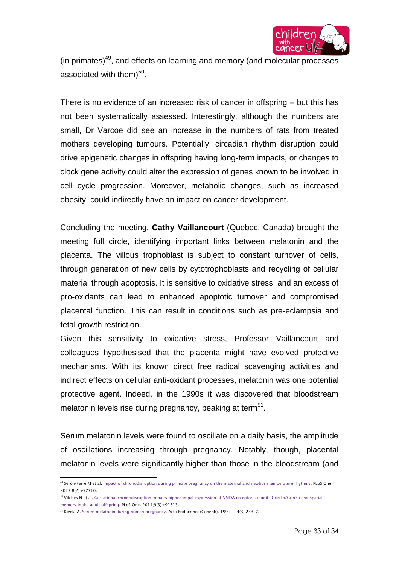

(in primates) $49$ , and effects on learning and memory (and molecular processes associated with them) $^{50}$ .

There is no evidence of an increased risk of cancer in offspring – but this has not been systematically assessed. Interestingly, although the numbers are small, Dr Varcoe did see an increase in the numbers of rats from treated mothers developing tumours. Potentially, circadian rhythm disruption could drive epigenetic changes in offspring having long-term impacts, or changes to clock gene activity could alter the expression of genes known to be involved in cell cycle progression. Moreover, metabolic changes, such as increased obesity, could indirectly have an impact on cancer development.

Concluding the meeting, **Cathy Vaillancourt** (Quebec, Canada) brought the meeting full circle, identifying important links between melatonin and the placenta. The villous trophoblast is subject to constant turnover of cells, through generation of new cells by cytotrophoblasts and recycling of cellular material through apoptosis. It is sensitive to oxidative stress, and an excess of pro-oxidants can lead to enhanced apoptotic turnover and compromised placental function. This can result in conditions such as pre-eclampsia and fetal growth restriction.

Given this sensitivity to oxidative stress, Professor Vaillancourt and colleagues hypothesised that the placenta might have evolved protective mechanisms. With its known direct free radical scavenging activities and indirect effects on cellular anti-oxidant processes, melatonin was one potential protective agent. Indeed, in the 1990s it was discovered that bloodstream melatonin levels rise during pregnancy, peaking at term<sup>51</sup>.

Serum melatonin levels were found to oscillate on a daily basis, the amplitude of oscillations increasing through pregnancy. Notably, though, placental melatonin levels were significantly higher than those in the bloodstream (and

 $\overline{\phantom{a}}$ <sup>49</sup> Serón-Ferré M et al[. Impact of chronodisruption during primate pregnancy on the maternal and](http://www.ncbi.nlm.nih.gov/pubmed/23469055) newborn temperature rhythms. PLoS One. 2013;8(2):e57710.

<sup>50</sup> Vilches N et al[. Gestational chronodisruption impairs hippocampal expression of NMDA receptor subunits Grin1b/Grin3a and spatial](http://www.ncbi.nlm.nih.gov/pubmed/24663672)  [memory in the adult offspring.](http://www.ncbi.nlm.nih.gov/pubmed/24663672) PLoS One. 2014;9(3):e91313.

<sup>51</sup> Kivelä A. Serum melatonin [during human pregnancy.](http://www.ncbi.nlm.nih.gov/pubmed/2011913) Acta Endocrinol (Copenh). 1991;124(3):233–7.